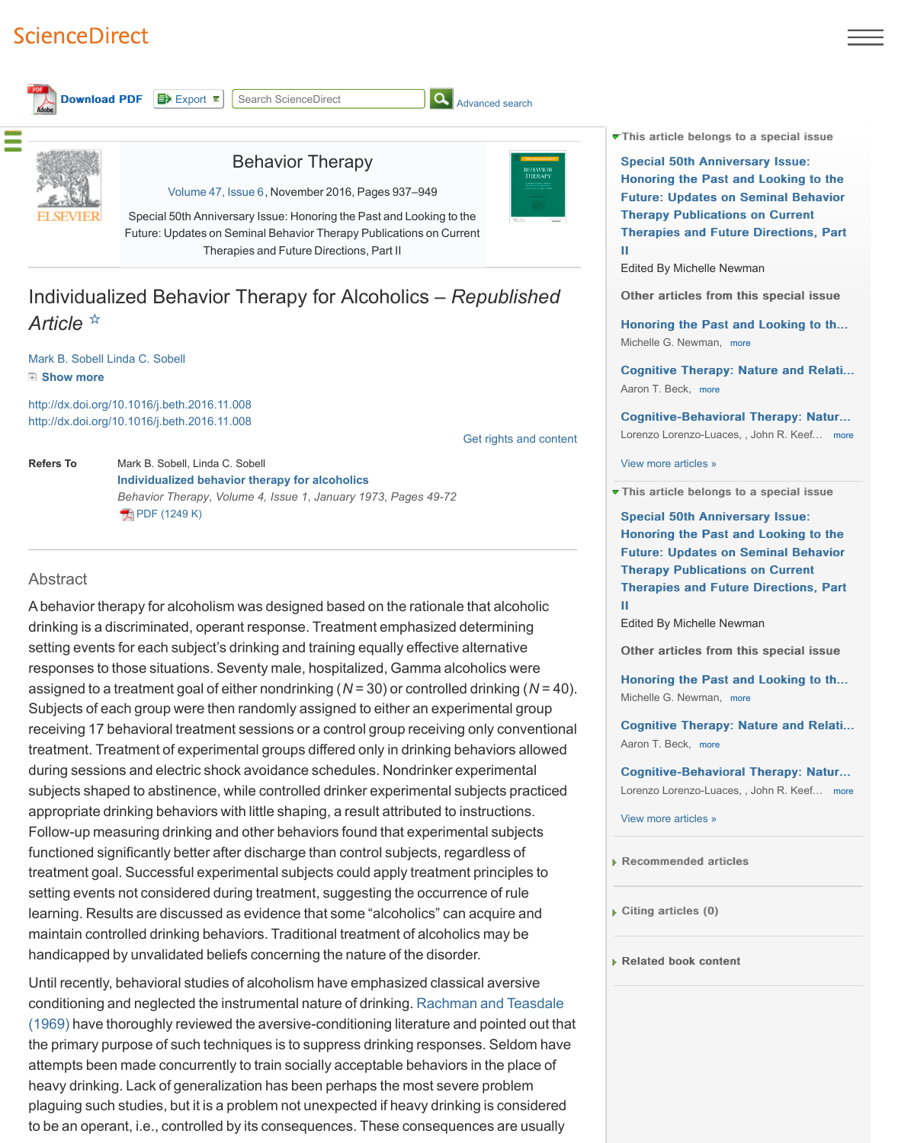**Refers To** Mark B. Sobell, Linda C. Sobell **[Individu](http://www.sciencedirect.com/)alized behavior therapy for alcoholics** *Behavior Therapy*, *Volume 4, Issue 1*, *January 1973*, *Pages 49-72*  $\blacktriangleright$  PDF (1249 K)

# Abstract

A behavior therapy for alcoholis[m was designed based o](http://www.sciencedirect.com/science/journal/00057894)n the rationale that [alcoholic](http://www.sciencedirect.com/science/journal/00057894/47/6) drinking is a discrimin[ated, operant res](http://www.sciencedirect.com/science/journal/00057894/47/6)ponse. Treatment emphasized determining setting events for each subject's drinking and training equally effective alternative responses to those situations. Seventy male, hospitalized, Gamma alcoholics were assigned to a treatment goal of either nondrinking ( $N = 30$ ) or controlled drinking ( $N = 40$ ). Subjects of each group were then randomly assigned to either an experimental grou receiving 17 behavioral treatment sessions or a control group receiving only convent treatmen[t. T](http://www.sciencedirect.com/science/article/pii/S000578941630096X#item1)reatment of experimental groups differed only in drinking behaviors allow during sessions and electric shock avoidance schedules. Nondrinker experimental [subjects shaped to abstin](http://www.sciencedirect.com/science/article/pii/S000578941630096X#)ence, while controlled drinker experimental subjects practi appropriate drinking behaviors with little shaping, a result attributed to instructions. [Follow-up measuring drinking and ot](http://dx.doi.org/10.1016/j.beth.2016.11.008)her behaviors found that experimental subjects [functioned significantly better after d](http://dx.doi.org/10.1016/j.beth.2016.11.008)ischarge than control subjects, regardless of treatment goal. Successful experimental subjects could apply treatme[nt principles to](https://s100.copyright.com/AppDispatchServlet?publisherName=ELS&contentID=S000578941630096X&orderBeanReset=true) setting events not considered during treatment, suggesting the occurrence of rule learning. Res[ults are discussed as evidence that some "](http://www.sciencedirect.com/science/article/pii/S0005789473800747)alcoholics" can acquire and maintain controlled drinking behaviors. Traditional treatment of alcoholics may be handicapped [by unvalidated](http://www.sciencedirect.com/science/article/pii/S0005789473800747/pdf?md5=197459f6256b7f9af86e69d9c3a11b8d&pid=1-s2.0-S0005789473800747-main.pdf) beliefs concerning the nature of the disorder.

Until recently, behavioral studies of alcoholism have emphasized classical aversive conditioning and neglected the instrumental nature of drinking. Rachman and Teasd (1969) have thoroughly reviewed the aversive-conditioning literature and pointed ou the primary purpose of such techniques is to suppress drinking responses. Seldom have attempts been made concurrently to train socially acceptable behaviors in the place heavy drinking. Lack of generalization has been perhaps the most severe problem plaguing such studies, but it is a problem not unexpected if heavy drinking is conside to be an operant, i.e., controlled by its consequences. These consequences are usual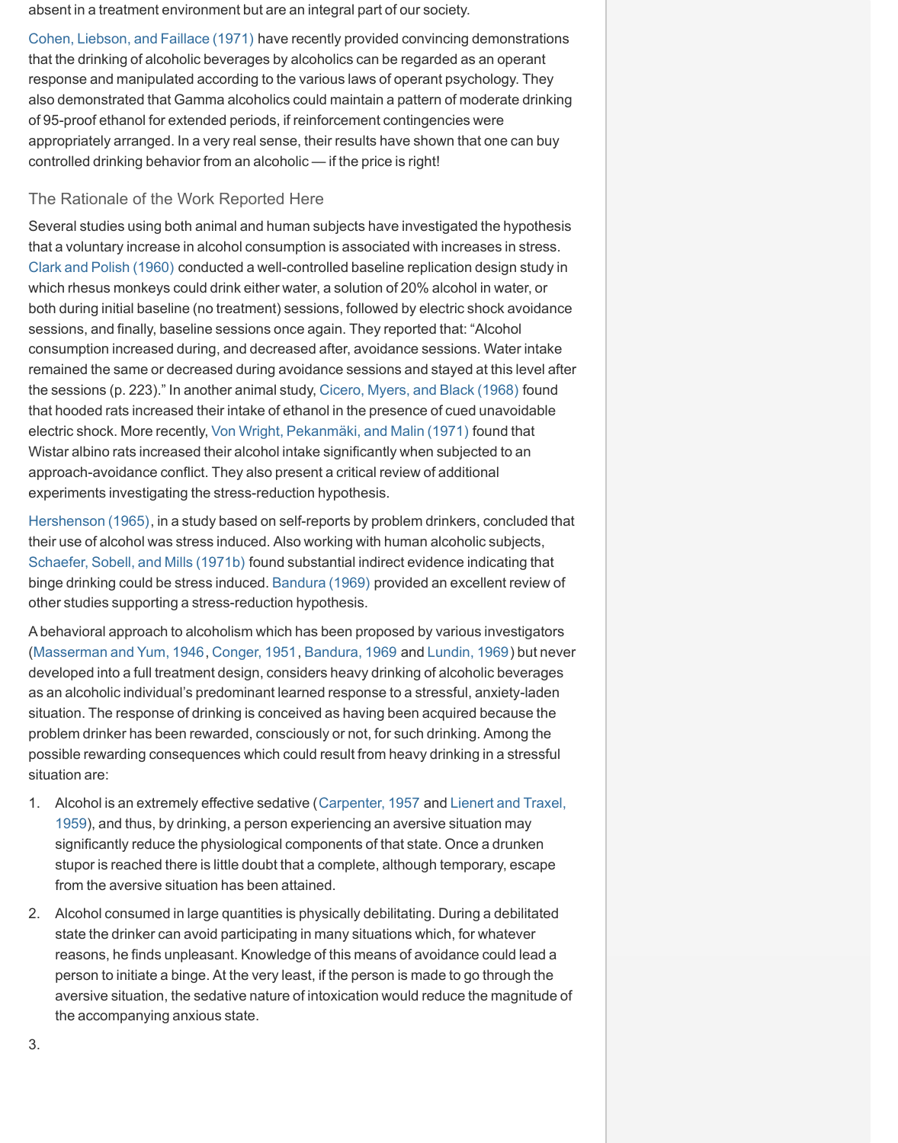electric shock. More recently, Von Wright, Pekanmäki, and Malin (1971) found that Wistar albino rats increased their alcohol intake significantly when subjected to an [approach-avoidance conflict. They al](http://www.sciencedirect.com/science/article/pii/S000578941630096X#bb0045)so present a critical review of additional experiments investigating the stress-reduction hypothesis.

Hershenson (1965), in a study based on self-reports by problem drinkers, concluded their use of alcohol was stress induced. Also working with human alcoholic subjects, Schaefer, Sobell, and Mills (1971b) found substantial indirect evidence indicating that binge drinking could be stress induced. Bandura (1969) provided an excellent reviev other studies supporting a stress-reduction hypothesis.

A behavioral approach to alcoholism which has been proposed by various investigat (Masserman and Yum, 1946, Conger, 1951, Bandura, 1969 and Lundin, 1969) but n developed into a full treatment design, considers heavy drinking of alcoholic beverages as an alcoholic individual's predominant learned response to a stressful, anxiety-lad [situation. The response](http://www.sciencedirect.com/science/article/pii/S000578941630096X#bb0040) of drinking is conceived as having been acquired because the problem drinker has been rewarded, consciously or not, for such drinking. Among the possible rewarding consequences which could result from heavy drinking in a stress situation are:

- 1. Alcohol is an extremely effective sedative (Carpenter, 1957 and Lienert and Tra 1959), and thus, by drinking, a person exp[eriencing an aversive situation ma](http://www.sciencedirect.com/science/article/pii/S000578941630096X#bb0035)y significantly reduce the physiological components of that state. Once a drunken stupor is reached there is [little doubt that a complete, although temp](http://www.sciencedirect.com/science/article/pii/S000578941630096X#bb0205)orary, escape from the aversive situation has been attained.
- 2. Alcohol consumed in large quantities is physically debilitating. During a debilitate state the drinker can avoid participating in many situations which, for whatever [reasons, he find](http://www.sciencedirect.com/science/article/pii/S000578941630096X#bb0065)s unpleasant. Knowledge of this means of avoidance could lead person to initiate a binge. At the very least, if the person is made to go through the [aversive situation, the sedative](http://www.sciencedirect.com/science/article/pii/S000578941630096X#bb0180) nature of intoxication would reduce the magnitud the accompanying anxious state.

3.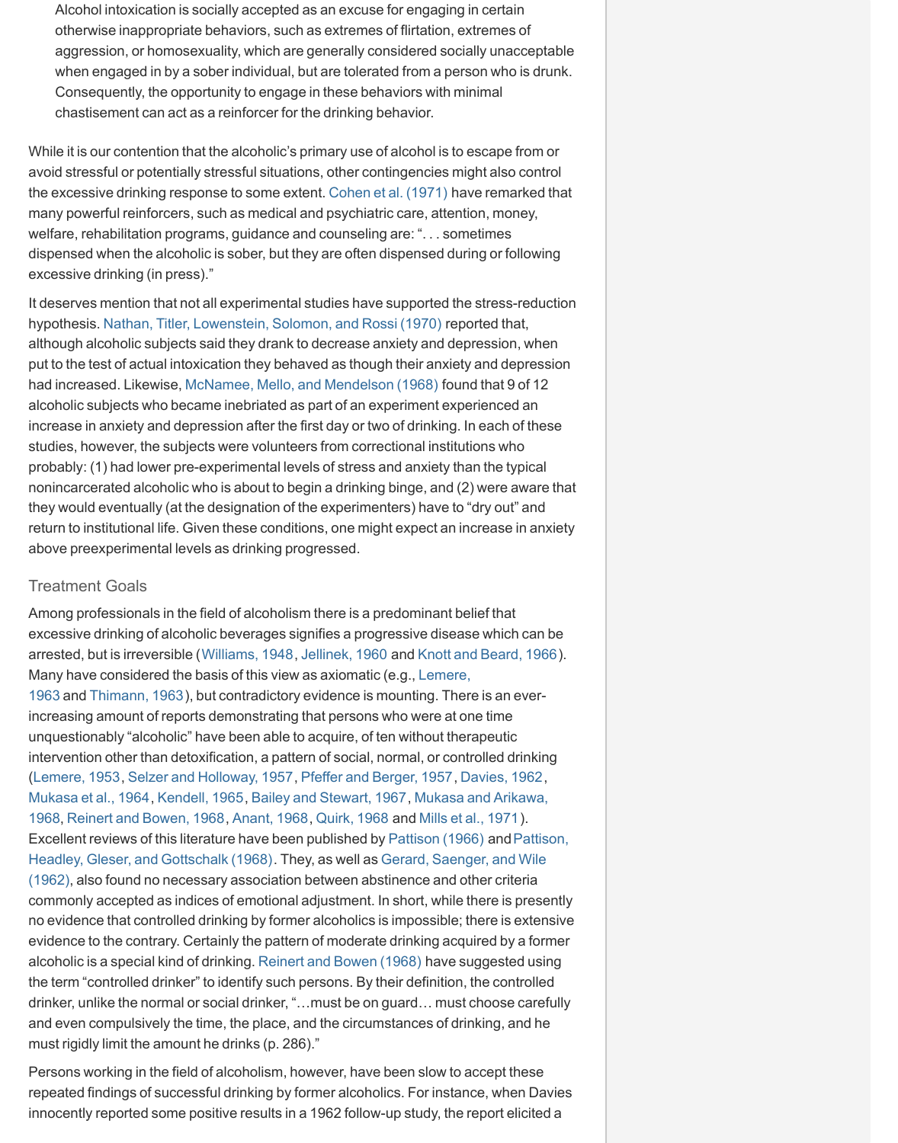studies, however, the subjects were volunteers from correctional institutions who probably: (1) had lower pre-experimental levels of stress and anxiety than the typical nonincarcerated alcoholic who is about to begin a drinking binge, and (2) were aware they would eventually (at the designation of the experimenters) have to "dry out" and return to institutional life. Given these conditions, one might expect an increase in an above preexperimental levels as drinking progressed.

# Treatment Goals

Among professionals in the field of alcoholism there is a predominant belief that excessive drinking of alcoholic beverages signifi[es a progressive dis](http://www.sciencedirect.com/science/article/pii/S000578941630096X#bb0045)ease which can be arrested, but is irreversible (Williams, 1948, Jellinek, 1960 and Knott and Beard, 1966). Many have considered the basis of this view as axiomatic (e.g., Lemere, 1963 and Thimann, 1963), but contradictory evidence is mounting. There is an everincreasing amount of reports demonstrating that persons who were at one time unquestionably "alcoholic" have been able to acquire, of ten without therapeutic intervention [other than detoxification, a pattern of social, normal, or](http://www.sciencedirect.com/science/article/pii/S000578941630096X#bb0135) controlled drinking (Lemere, 1953, Selzer and Holloway, 1957, Pfeffer and Berger, 1957, Davies, 1962, Mukasa et al., 1964, Kendell, 1965, Bailey and Stewart, 1967, Mukasa and Arikawa, 1968, Reinert and Bowe[n, 1968, Anant, 1968, Quirk, 1968 and Mill](http://www.sciencedirect.com/science/article/pii/S000578941630096X#bb0110)s et al., 1971). Excellent reviews of this literature have been published by Pattison (1966) and Pattis Headley, Gleser, and Gottschalk (1968). They, as well as Gerard, Saenger, and Wile (1962), also found no necessary association between abstinence and other criteria commonly accepted as indices of emotional adjustment. In short, while there is presently no evidence that controlled drinking by former alcoholics is impossible; there is exter evidence to the contrary. Certainly the pattern of moderate drinking acquired by a for alcoholic is a special kind of drinking. Reinert and Bowen (1968) have suggested using the term "controlled drinker" to identify such persons. By their definition, the controlled drinker, unlike the normal or social drinker, "...must be on guard... must choose care and even compulsively the time, the place, and the circumstances of drinking, and he must rigidly limit the amount he drinks (p. 286)."

Persons working in the field of alcoholism, however, have been slow to accept these repeated findings of succes[sful drinking by f](http://www.sciencedirect.com/science/article/pii/S000578941630096X#bb0210)[ormer alcoholic](http://www.sciencedirect.com/science/article/pii/S000578941630096X#bb0070)s. For instance, when Da [innocently reported some positive results in a 1962 follow-up study, the r](http://www.sciencedirect.com/science/article/pii/S000578941630096X#bb0090)eport elicited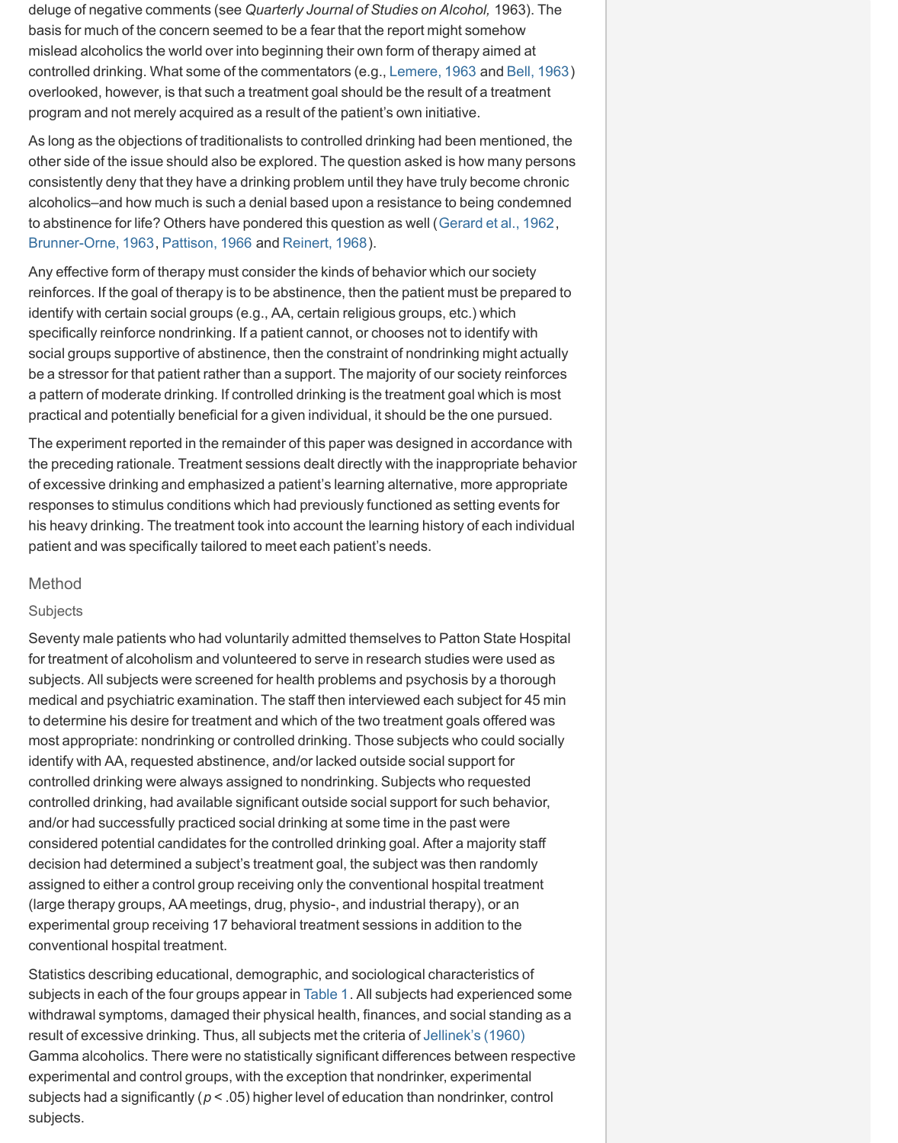The experiment reported in the remainder of this paper was designed in accordance the preceding rationale. Treatment sessions dealt directly with the inappropriate beh of excessive drinking and emphasized a patient's learning alternative, more appropr responses to stimulus conditions which had previously fun[ctioned as setti](http://www.sciencedirect.com/science/article/pii/S000578941630096X#bb0090)ng e[vents for](http://www.sciencedirect.com/science/article/pii/S000578941630096X#bb0020) his heavy drinking. The treatment took into account the learning history of each indiv patient and was specifically tailored to meet each patient's needs.

# Method

# **Subjects**

Seventy male patients who had voluntarily admitted themselves to Patton State Hos for treatment of alcoholism and volunteered to serve in research st[udies were used as](http://www.sciencedirect.com/science/article/pii/S000578941630096X#bb0060) [subjects. All subjects](http://www.sciencedirect.com/science/article/pii/S000578941630096X#bb0025) [were screened](http://www.sciencedirect.com/science/article/pii/S000578941630096X#bb0140) for [health problem](http://www.sciencedirect.com/science/article/pii/S000578941630096X#bb0165)s and psychosis by a thorough medical and psychiatric examination. The staff then interviewed each subject for 45 to determine his desire for treatment and which of the two treatment goals offered was most appropriate: nondrinking or controlled drinking. Those subjects who could social identify with AA, requested abstinence, and/or lacked outside social support for controlled drinking were always assigned to nondrinking. Subjects who requested controlled drinking, had available significant outside social support for such behavior and/or had successfully practiced social drinking at some time in the past were considered potential candidates for the controlled drinking goal. After a majority staff decision had determined a subject's treatment goal, the subject was then randomly assigned to either a control group receiving only the conventional hospital treatment (large therapy groups, AA meetings, drug, physio-, and industrial therapy), or an experimental group receiving 17 behavioral treatment sessions in addition to the conventional hospital treatment.

Statistics describing educational, demographic, and sociological characteristics of subjects in each of the four groups appear in Table 1. All subjects had experienced s withdrawal symptoms, damaged their physical health, finances, and social standing result of excessive drinking. Thus, all subjects met the criteria of Jellinek's (1960) Gamma alcoholics. There were no statistically significant differences between respe experimental and control groups, with the exception that nondrinker, experimental subjects had a significantly ( $p < .05$ ) higher level of education than nondrinker, control subjects.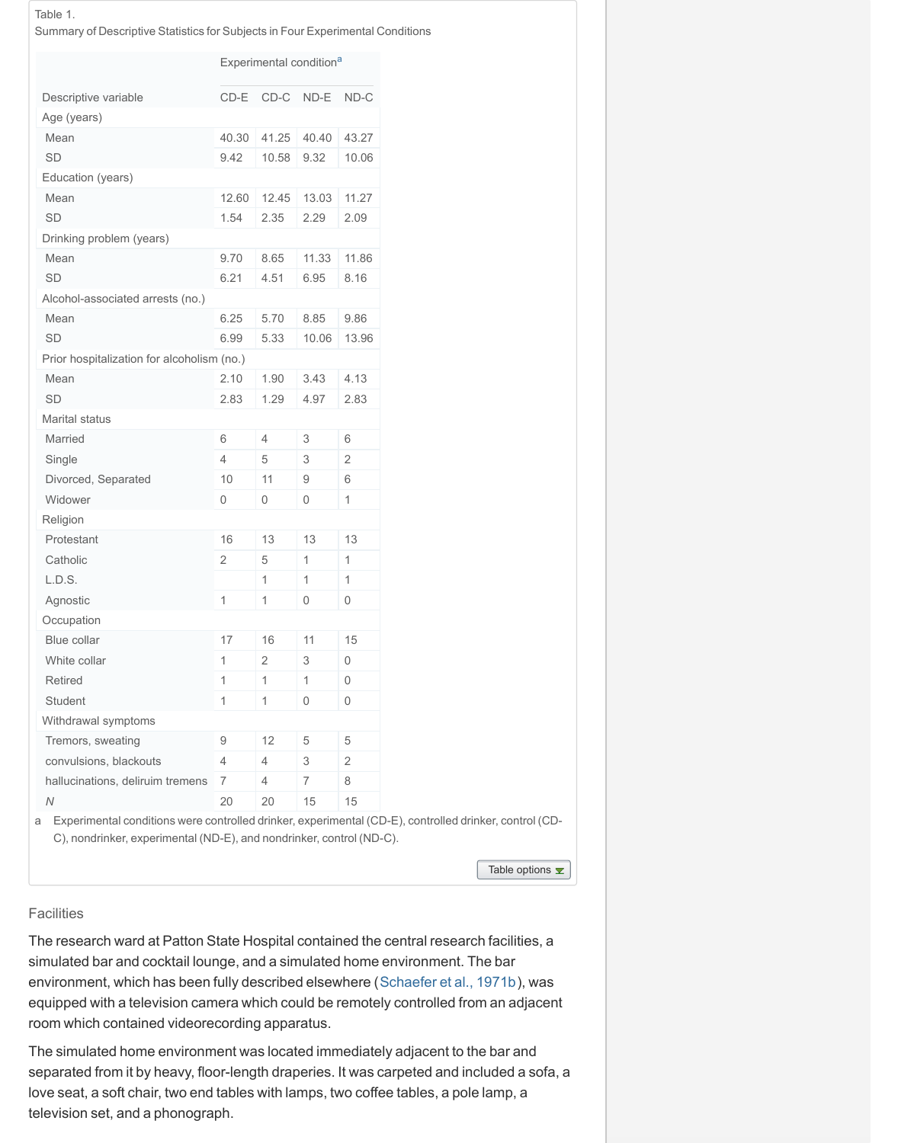| <b>IVIAITIEG</b>                 | Ю              | 4              | ა              | O              |
|----------------------------------|----------------|----------------|----------------|----------------|
| Single                           | $\overline{4}$ | 5              | 3              | $\overline{2}$ |
| Divorced, Separated              | 10             | 11             | $\overline{9}$ | 6              |
| Widower                          | $\overline{0}$ | $\overline{0}$ | $\overline{0}$ | $\overline{1}$ |
| Religion                         |                |                |                |                |
| Protestant                       | 16             | 13             | 13             | 13             |
| Catholic                         | $\overline{2}$ | 5              | 1              | $\overline{1}$ |
| L.D.S.                           |                | $\overline{1}$ | $\overline{1}$ | $\overline{1}$ |
| Agnostic                         | $\mathbf 1$    | $\overline{1}$ | $\overline{0}$ | $\overline{0}$ |
| Occupation                       |                |                |                |                |
| <b>Blue collar</b>               | 17             | 16             | 11             | 15             |
| White collar                     | 1              | $\overline{2}$ | 3              | $\overline{0}$ |
| <b>Retired</b>                   | 1              | 1              | 1              | $\overline{0}$ |
| <b>Student</b>                   | $\overline{1}$ | $\overline{1}$ | $\overline{0}$ | $\overline{0}$ |
| Withdrawal symptoms              |                |                |                |                |
| Tremors, sweating                | 9              | 12             | 5              | 5              |
| convulsions, blackouts           | $\overline{4}$ | $\overline{4}$ | 3              | $\overline{2}$ |
| hallucinations, deliruim tremens | $\overline{7}$ | $\overline{4}$ | $\overline{7}$ | 8              |
| $\mathcal N$                     | 20             | 20             | 15             | 15             |

a Experimental conditions were controlled drinker, experimental (CD-E), controlled drinker, control (O C), nondrinker, experimental (ND-E), and nondrinker, control (ND-C).

**Table option** 

### **Facilities**

The research ward at Patton State Hospital contained the central research facilities, a simulated bar and cocktail lounge, and a simulated home environment. The bar environment, which has been fully described elsewhere (Schaefer et al., 1971b), was equipped with a television camera which could be remotely controlled from an adjace room which contained videorecording apparatus.

The simulated home environment was located immediately adjacent to the bar and separated from it by heavy, floor-length draperies. It was carpeted and included a so love seat, a soft chair, two end tables with lamps, two coffee tables, a pole lamp, a television set, and a phonograph.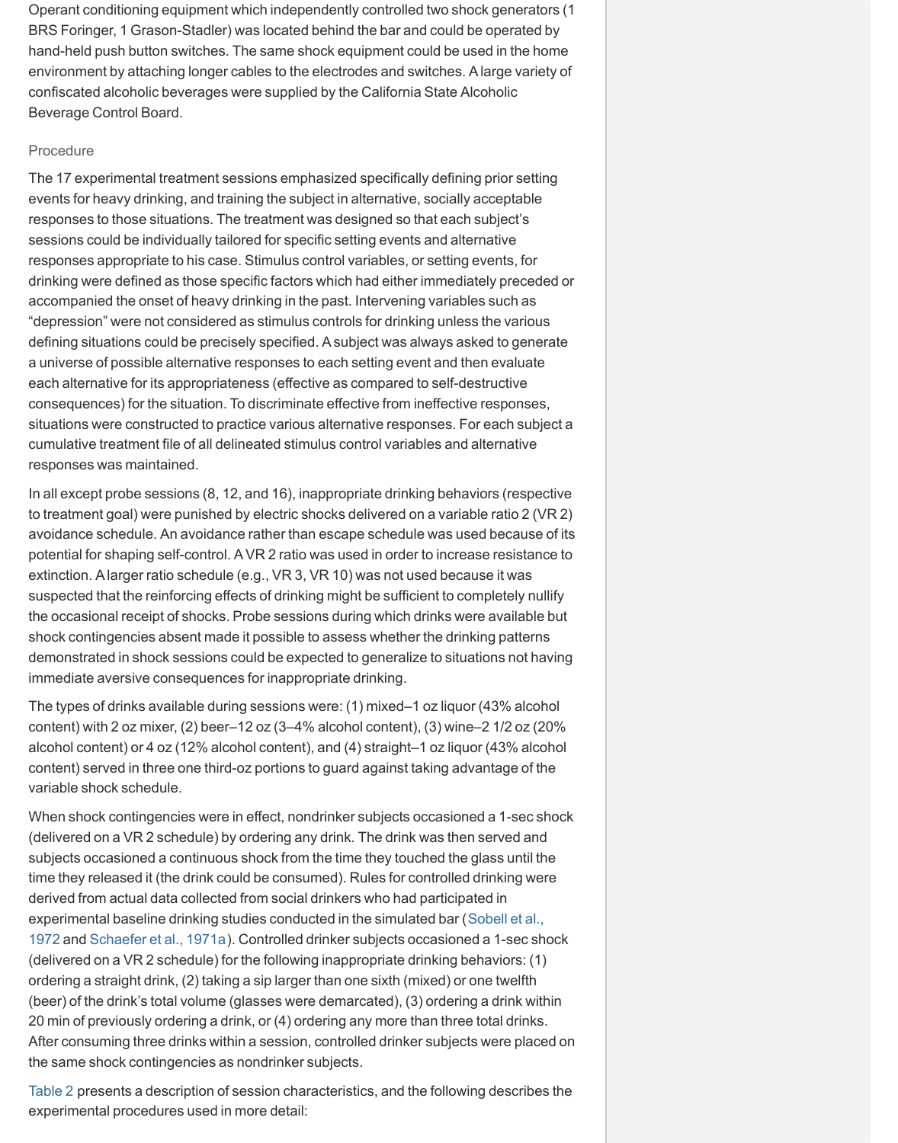cumulative treatment file of all delineated stimulus control variables and alternative responses was maintained.

In all except probe sessions (8, 12, and 16), inappropriate drinking behaviors (respectively to treatment goal) were punished by electric shocks delivered on a variable ratio 2 (V avoidance schedule. An avoidance rather than escape schedule was used because potential for shaping self-control. A VR 2 ratio was used in order to increase resistane extinction. A larger ratio schedule (e.g., VR 3, VR 10) was not used because it was suspected that the reinforcing effects of drinking might be sufficient to completely nu the occasional receipt of shocks. Probe sessions during which drinks were available shock contingencies absent made it possible to assess whether the drinking patterns demonstrated in shock sessions could be expected to generalize to situations not ha immediate aversive consequences for inappropriate drinking.

The types of drinks available during sessions were: (1) mixed–1 oz liquor (43% alcoh content) with 2 oz mixer, (2) beer–12 oz  $(3-4%$  alcohol content), (3) wine–2  $1/2$  oz  $(2)$ alcohol content) or 4 oz (12% alcohol content), and (4) straight–1 oz liquor (43% alco content) served in three one third-oz portions to guard against taking advantage of th variable shock schedule.

When shock contingencies were in effect, nondrinker subjects occasioned a 1-sec shock (delivered on a VR 2 schedule) by ordering any drink. The drink was then served and subjects occasioned a continuous shock from the time they touched the glass until the time they released it (the drink could be consumed). Rules for controlled drinking we derived from actual data collected from social drinkers who had participated in experimental baseline drinking studies conducted in the simulated bar (Sobell et al., 1972 and Schaefer et al., 1971a). Controlled drinker subjects occasioned a 1-sec sh (delivered on a VR 2 schedule) for the following inappropriate drinking behaviors: (1) ordering a straight drink, (2) taking a sip larger than one sixth (mixed) or one twelfth (beer) of the drink's total volume (glasses were demarcated), (3) ordering a drink with 20 min of previously ordering a drink, or (4) ordering any more than three total drinks. After consuming three drinks within a session, controlled drinker subjects were place the same shock contingencies as nondrinker subjects.

Table 2 presents a description of session characteristics, and the following describes experimental procedures used in more detail: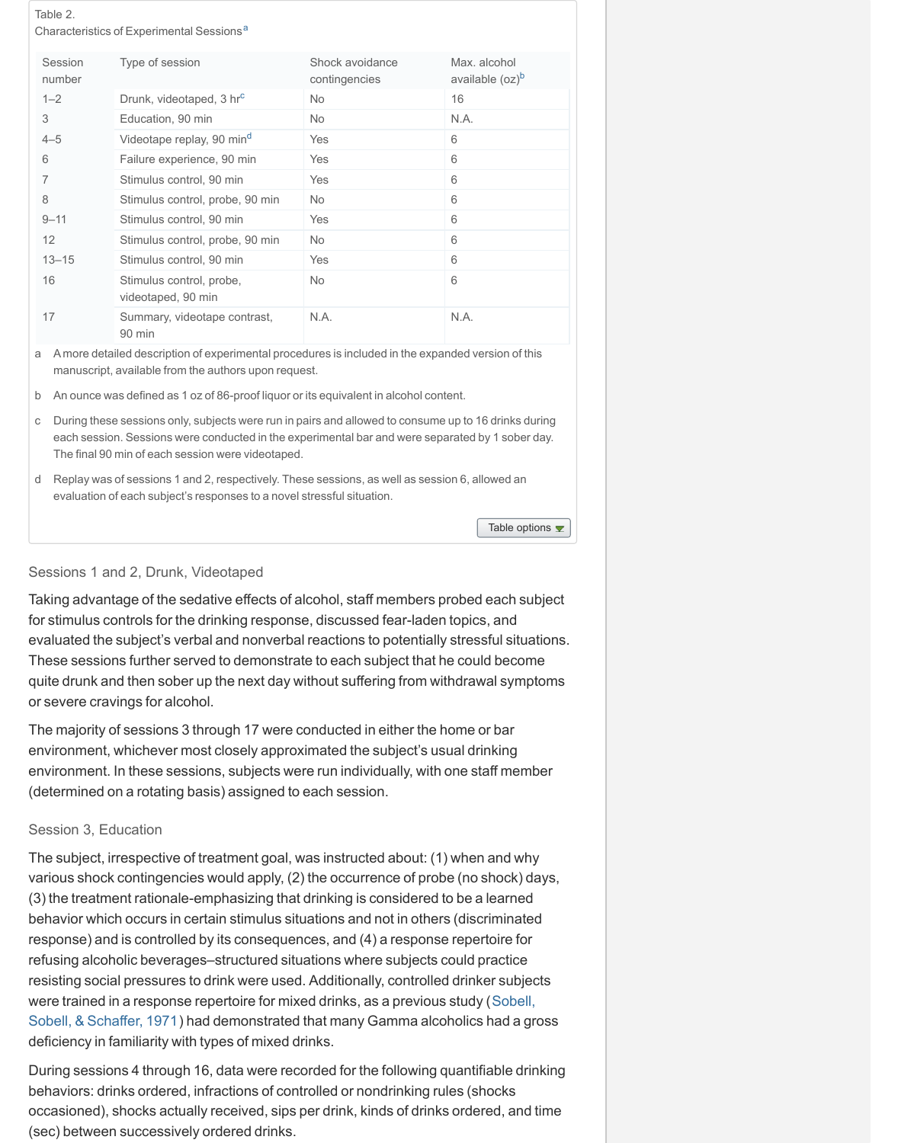each session. Sessions were conducted in the experimental bar and were separated by 1 sober day. The final 90 min of each session were videotaped.

d Replay was of sessions 1 and 2, resp[ec](http://www.sciencedirect.com/science/article/pii/S000578941630096X#tf0010)tively. These sessions, as well as session 6, allowed an evaluation of each subject's responses to a novel stressful situation.

**Table [op](http://www.sciencedirect.com/science/article/pii/S000578941630096X#tf0015)tion** 

### Sessions 1 and 2, Drunk, Videota[pe](http://www.sciencedirect.com/science/article/pii/S000578941630096X#tf0025)d

Taking advantage of the sedative effects of alcohol, staff members probed each subj for stimulus controls for the drinking response, discussed fear-laden topics, and evaluated the subject's verbal and nonverbal reactions to potentially stressful situations. These sessions further served to demonstrate to each subject that he could become quite drunk and then sober up the next day without suffering from withdrawal sympto or severe cravings for alcohol.

The majority of sessions 3 through 17 were conducted in either the home or bar environment, whichever most closely approximated the subject's usual drinking environment. In these sessions, subjects were run individually, with one staff member (determined on a rotating basis) assigned to each session.

### Session 3, Education

The subject, irrespective of treatment goal, was instructed about: (1) when and why various shock contingencies would apply, (2) the occurrence of probe (no shock) day (3) the treatment rationale-emphasizing that drinking is considered to be a learned behavior which occurs in certain stimulus situations and not in others (discriminated response) and is controlled by its consequences, and (4) a response repertoire for refusing alcoholic beverages–structured situations where subjects could p[ractice](http://www.sciencedirect.com/science/article/pii/S000578941630096X#) resisting social pressures to drink were used. Additionally, controlled drinker subject were trained in a response repertoire for mixed drinks, as a previous study (Sobell, Sobell, & Schaffer, 1971) had demonstrated that many Gamma alcoholics had a gro deficiency in familiarity with types of mixed drinks.

During sessions 4 through 16, data were recorded for the following quantifiable drink behaviors: drinks ordered, infractions of controlled or nondrinking rules (shocks occasioned), shocks actually received, sips per drink, kinds of drinks ordered, and tin (sec) between successively ordered drinks.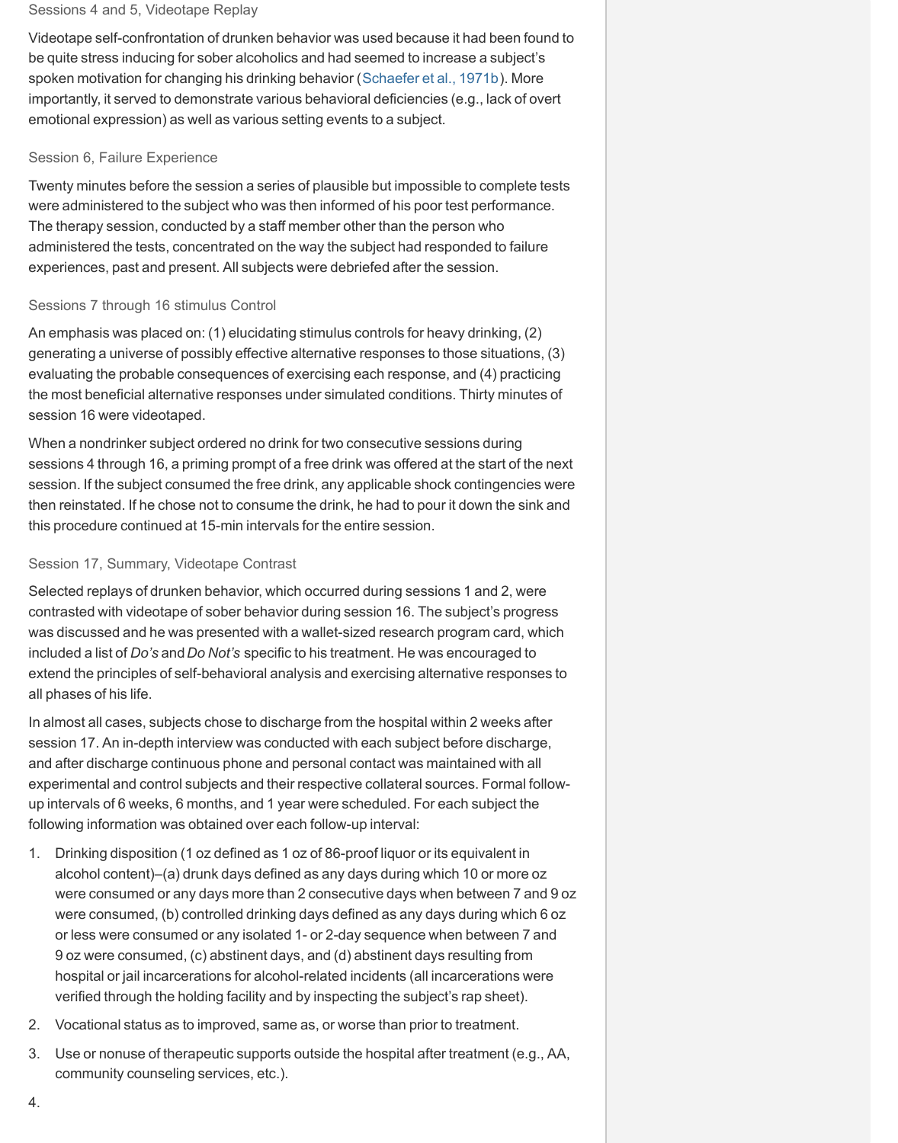When a nondrinker subject ordered no drink for two consecutive sessions during sessions 4 through 16, a priming prompt of a free drink was offered at the start of the session. If the subject consumed the free drink, any applicable shock contingencies then reinstated. If he chose not to consume the drink, [he had to pour it down th](http://www.sciencedirect.com/science/article/pii/S000578941630096X#bb0180)e sink this procedure continued at 15-min intervals for the entire session.

# Session 17, Summary, Videotape Contrast

Selected replays of drunken behavior, which occurred during sessions 1 and 2, were contrasted with videotape of sober behavior during session 16. The subject's progre was discussed and he was presented with a wallet-sized research program card, wh included a list of *Do's* and *Do Not's* specific to his treatment. He was encouraged to extend the principles of self-behavioral analysis and exercising alternative response all phases of his life.

In almost all cases, subjects chose to discharge from the hospital within 2 weeks after session 17. An in-depth interview was conducted with each subject before discharge and after discharge continuous phone and personal contact was maintained with all experimental and control subjects and their respective collateral sources. Formal fol up intervals of 6 weeks, 6 months, and 1 year were scheduled. For each subject the following information was obtained over each follow-up interval:

- 1. Drinking disposition (1 oz defined as 1 oz of 86-proof liquor or its equivalent in alcohol content)–(a) drunk days defined as any days during which 10 or more oz were consumed or any days more than 2 consecutive days when between 7 and were consumed, (b) controlled drinking days defined as any days during which 6 or less were consumed or any isolated 1- or 2-day sequence when between 7 and 9 oz were consumed, (c) abstinent days, and (d) abstinent days resulting from hospital or jail incarcerations for alcohol-related incidents (all incarcerations were verified through the holding facility and by inspecting the subject's rap sheet).
- 2. Vocational status as to improved, same as, or worse than prior to treatment.
- 3. Use or nonuse of therapeutic supports outside the hospital after treatment (e.g., community counseling services, etc.).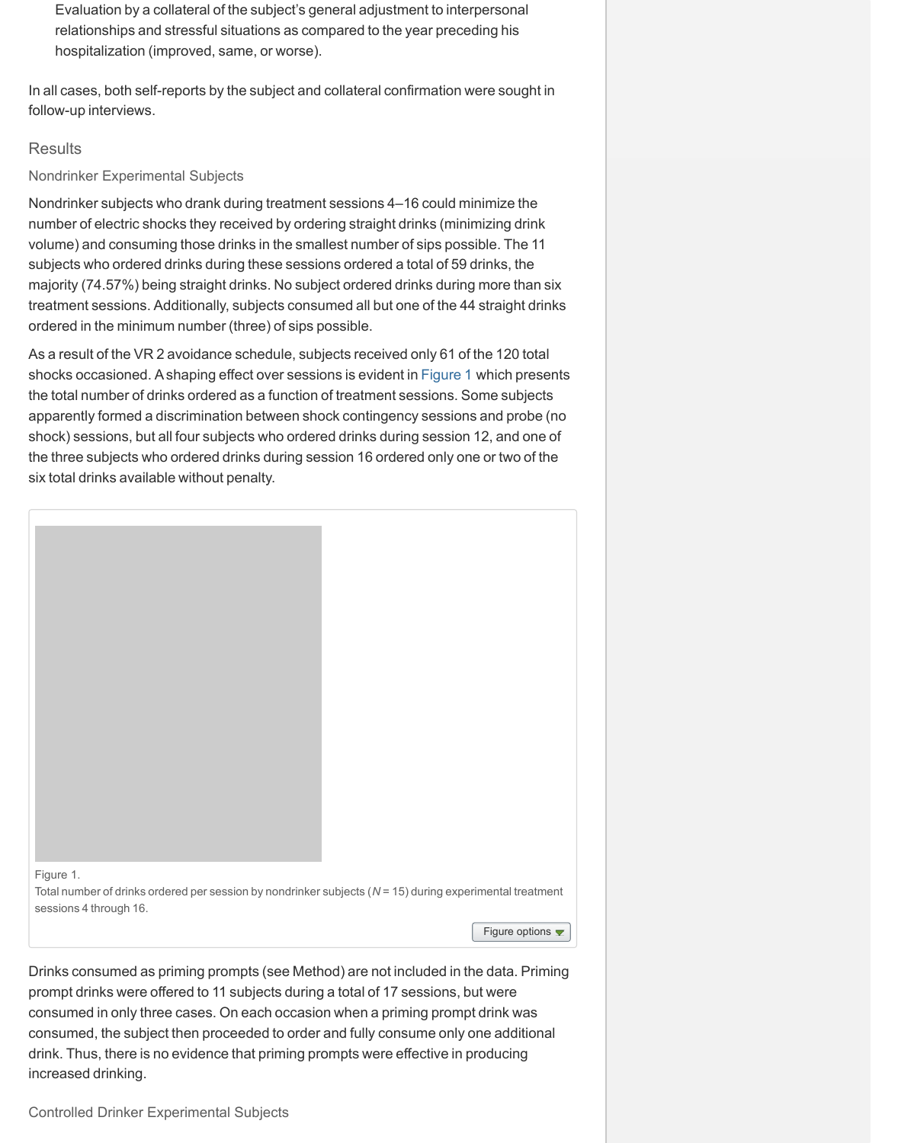shock) sessions, but all four subjects who ordered drinks during session 12, and one of the three subjects who ordered drinks during session 16 ordered only one or two of the six total drinks available without penalty.

Figure 1.

Total number of drinks ordered per session by nondrinker subjects ( $N = 15$ ) during experimental treatm sessions 4 through 16.

Figure option

[Drinks consumed as priming prompts \(see Meth](http://www.sciencedirect.com/science/article/pii/S000578941630096X#gr1)od) are not included in the data. Prin prompt drinks were offered to 11 subjects during a total of 17 sessions, but were consumed in only three cases. On each occasion when a priming prompt drink was consumed, the subject then proceeded to order and fully consume only one addition drink. Thus, there is no evidence that priming prompts were effective in producing increased drinking.

Controlled Drinker Experimental Subjects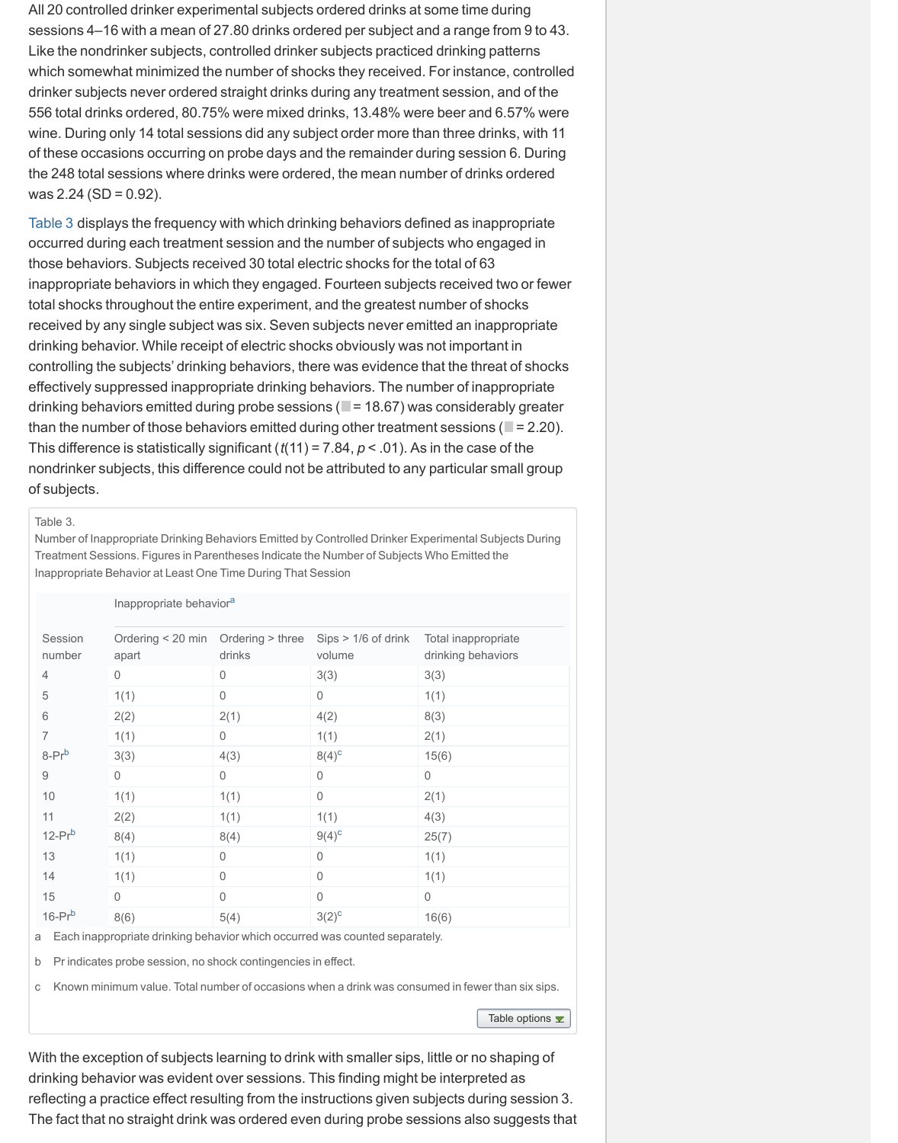This difference is statistically significant ( $t(11) = 7.84$ ,  $p < .01$ ). As in the case of the nondrinker subjects, this difference could not be attributed to any particular small gro of subjects.

#### Table 3.

Number of Inappropriate Drinking Behaviors Emitted by Controlled Drinker Experimental Subjects Dur Treatment Sessions. Figures in Parentheses Indicate the Number of Subjects Who Emitted the Inappropriate Behavior at Least One Time During That Session

|                          | Inappropriate behavior <sup>a</sup> |                            |                                 |                                           |
|--------------------------|-------------------------------------|----------------------------|---------------------------------|-------------------------------------------|
| <b>Session</b><br>number | Ordering < 20 min<br>apart          | Ordering > three<br>drinks | $Sips > 1/6$ of drink<br>volume | Total inappropriate<br>drinking behaviors |
| $\overline{4}$           | $\overline{0}$                      | $\overline{0}$             | 3(3)                            | 3(3)                                      |
| 5                        | 1(1)                                | $\overline{0}$             | $\mathsf{O}\xspace$             | 1(1)                                      |
| 6                        | 2(2)                                | 2(1)                       | 4(2)                            | 8(3)                                      |
| $\overline{7}$           | 1(1)                                | $\overline{0}$             | 1(1)                            | 2(1)                                      |
| $8-Prb$                  | 3(3)                                | 4(3)                       | $8(4)^{c}$                      | 15(6)                                     |
| 9                        | $\overline{0}$                      | $\overline{0}$             | $\mathsf{O}\xspace$             | $\mathbf 0$                               |
| 10                       | 1(1)                                | 1(1)                       | $\mathsf{O}\xspace$             | 2(1)                                      |
| 11                       | 2(2)                                | 1(1)                       | 1(1)                            | 4(3)                                      |
| $12-Prb$                 | 8(4)                                | 8(4)                       | $9(4)^{c}$                      | 25(7)                                     |
| 13                       | 1(1)                                | $\overline{0}$             | $\mathsf{O}\xspace$             | 1(1)                                      |
| 14                       | 1(1)                                | $\overline{0}$             | $\mathsf{O}\xspace$             | 1(1)                                      |
| 15                       | $\overline{0}$                      | $\overline{0}$             | $\overline{0}$                  | $\mathbf 0$                               |
| $16-Prb$                 | 8(6)                                | 5(4)                       | $3(2)^{c}$                      | 16(6)                                     |

a Each inappropriate drinking behavior which occurred was counted separately.

b Pr indicates probe session, no shock contingencies in effect.

c Known minimum value. Total number of occasions when a drink was consumed in fewer than six si

**Table option** 

With the exception of subjects learning to drink with smaller sips, little or no shaping of drinking behavior was evident over sessions. This finding might be interpreted as reflecting a practice effect resulting from the instructions given subjects during session The fact that no straight drink was ordered even during probe sessions also suggests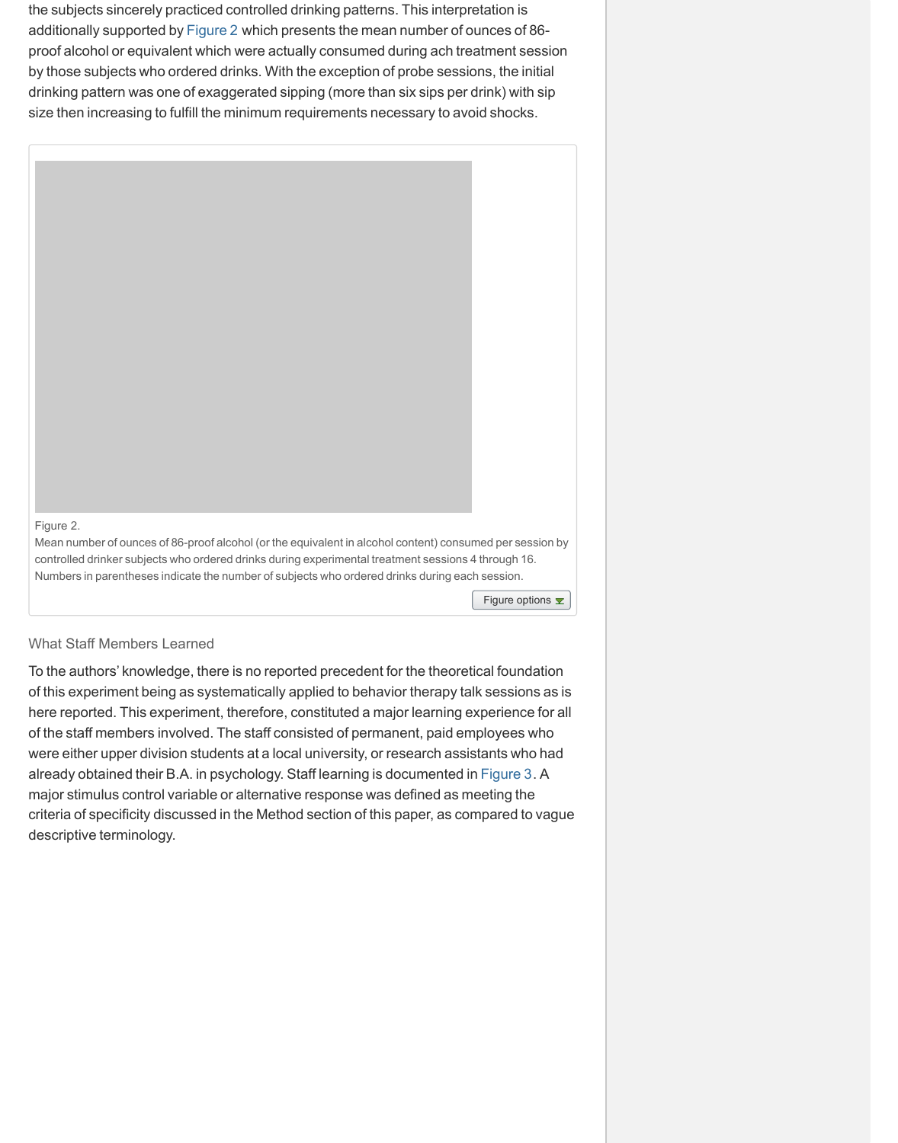Figure 2.

Mean number of ounces of 86-proof alcohol (or the equivalent in alcohol content) consumed per session controlled drinker subjects who ordered drinks during experimental treatment sessions 4 through 16. Numbers in parentheses indicate the number of subjects who ordered drinks during each session.

Figure option

### What Staff Members Learned

To the authors' knowledge, there is no reported precedent for the theoretical foundat [of this experiment being as systematically applied to behavior therapy ta](http://www.sciencedirect.com/science/article/pii/S000578941630096X#gr2)lk sessions here reported. This experiment, therefore, constituted a major learning experience for of the staff members involved. The staff consisted of permanent, paid employees wh were either upper division students at a local university, or research assistants who h already obtained their B.A. in psychology. Staff learning is documented in Figure 3. A major stimulus control variable or alternative response was defined as meeting the criteria of specificity discussed in the Method section of this paper, as compared to va descriptive terminology.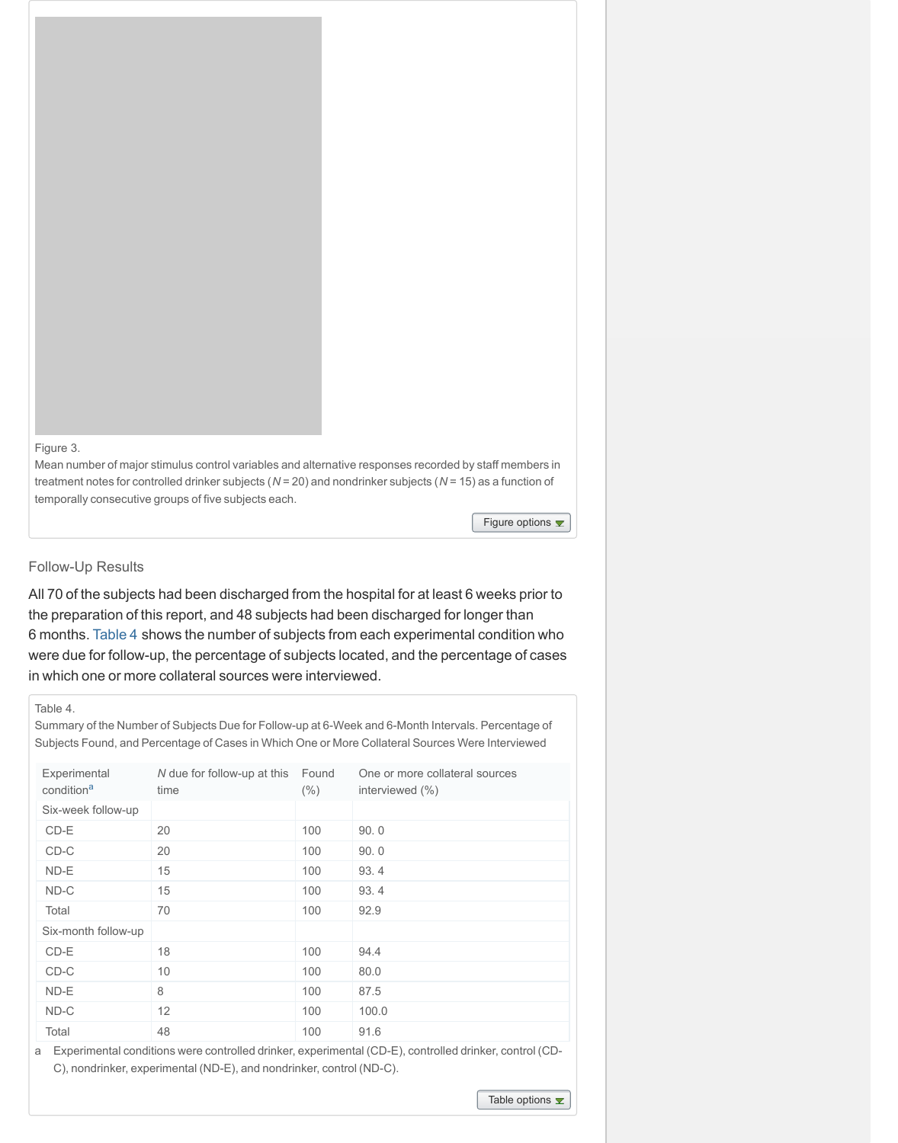Figure 3.

Mean number of major stimulus control variables and alternative responses recorded by staff members treatment notes for controlled drinker subjects ( $N = 20$ ) and nondrinker subjects ( $N = 15$ ) as a function temporally consecutive groups of five subjects each.

Figure option

### Follow-Up Results

[All 70 of the subjects had been discharged from](http://www.sciencedirect.com/science/article/pii/S000578941630096X#gr3) the hospital for at least 6 weeks prior the preparation of this report, and 48 subjects had been discharged for longer than 6 months. Table 4 shows the number of subjects from each experimental condition who were due for follow-up, the percentage of subjects located, and the percentage of ca in which one or more collateral sources were interviewed.

#### Table 4.

Summary of the Number of Subjects Due for Follow-up at 6-Week and 6-Month Intervals. Percentage of Subjects Found, and Percentage of Cases in Which One or More Collateral Sources Were Interviewed

| Experimental<br>condition <sup>a</sup> | N due for follow-up at this<br>time | Found<br>(% ) | One or more collateral sources<br>interviewed $(\% )$ |
|----------------------------------------|-------------------------------------|---------------|-------------------------------------------------------|
| Six-week follow-up                     |                                     |               |                                                       |
| $CD-E$                                 | 20                                  | 100           | 90.0                                                  |
| $CD-C$                                 | 20                                  | 100           | 90.0                                                  |
| ND-E                                   | 15                                  | 100           | 93.4                                                  |
| $ND-C$                                 | 15                                  | 100           | 93.4                                                  |
| Total                                  | 70                                  | 100           | 92.9                                                  |
| Six-month follow-up                    |                                     |               |                                                       |
| $CD-E$                                 | 18                                  | 100           | 94.4                                                  |
| $CD-C$                                 | 10                                  | 100           | 80.0                                                  |
| ND-E                                   | 8                                   | 100           | 87.5                                                  |
| $ND-C$                                 | 12                                  | 100           | 100.0                                                 |
| Total                                  | 48                                  | 100           | 91.6                                                  |

a Experimental conditions were controlled drinker, experimental (CD-E), controlled drinker, control (O C), non[drinker, ex](http://www.sciencedirect.com/science/article/pii/S000578941630096X#t0020)perimental (ND-E), and nondrinker, control (ND-C).

**Table option**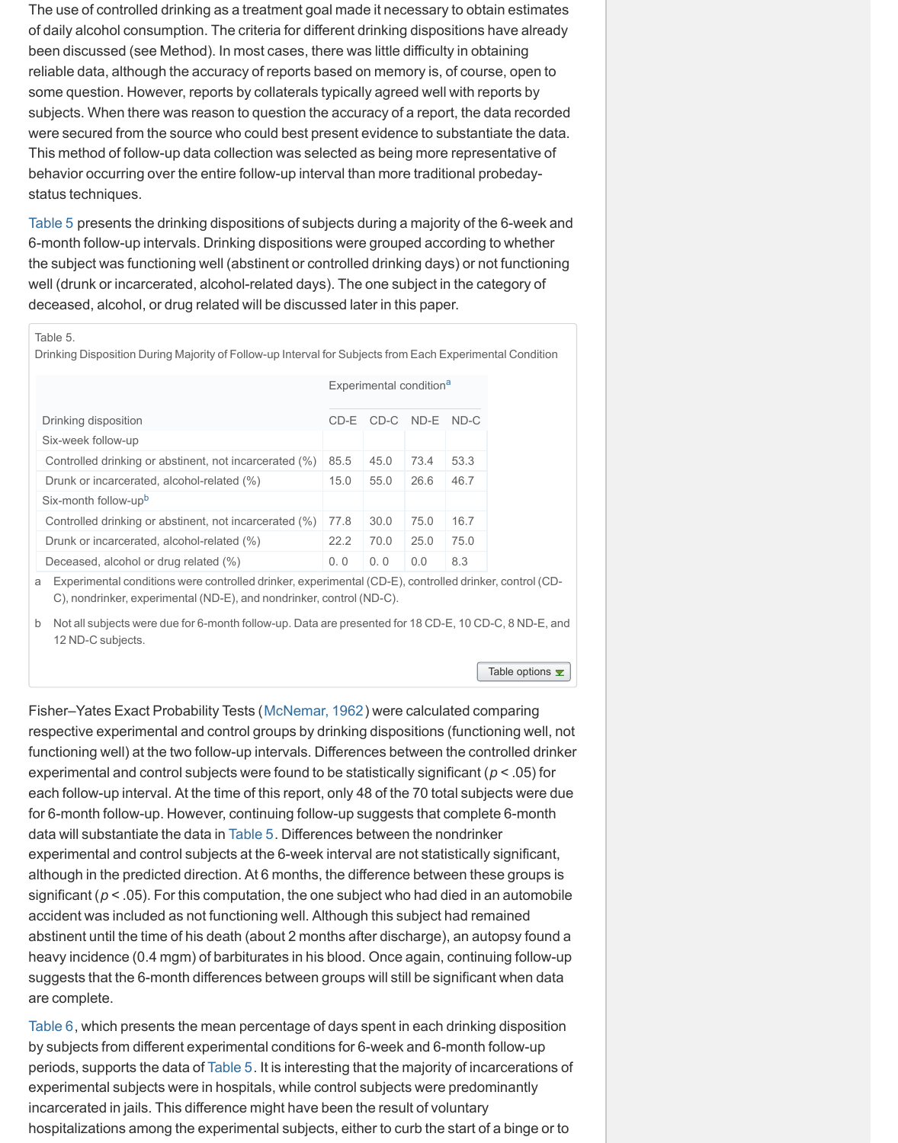| SIX-week follow-up                                     |      |      |      |      |
|--------------------------------------------------------|------|------|------|------|
| Controlled drinking or abstinent, not incarcerated (%) | 85.5 | 45.0 | 73.4 | 53.3 |
| Drunk or incarcerated, alcohol-related (%)             | 15.0 | 55.0 | 26.6 | 46.7 |
| Six-month follow-upb                                   |      |      |      |      |
| Controlled drinking or abstinent, not incarcerated (%) | 77.8 | 30.0 | 75.0 | 16.7 |
| Drunk or incarcerated, alcohol-related (%)             | 22.2 | 70.0 | 25.0 | 75.0 |
| Deceased, alcohol or drug related (%)                  | 0.0  | 0.0  | 0.0  | 8.3  |

a Experimental conditions were controlled drinker, experimental (CD-E), controlled drinker, control (O C), nondrinker, experimental (ND-E), and nondrinker, control (ND-C).

b Not all subjects were due for 6-month follow-up. Data are presented for 18 CD-E, 10 CD-C, 8 ND-E 12 ND-C subjects.

**Table option** 

Fisher–Yates Exact Probability Tests (McNemar, 1962) were calculated comparing respective experimental and control groups by drinking dispositions (functioning well functioning well) at the two follow-up intervals. Differences between the controlled dr experimental and control subjects were found to be statistically significant ( $p < .05$ ) for each follow-up interval. At the time of this report, only 48 of the 70 total subjects were for 6-month follow-up. However, [co](http://www.sciencedirect.com/science/article/pii/S000578941630096X#tf0050)ntinuing follow-up suggests that complete 6-mon data will substantiate the data in Table 5. Differences between the nondrinker experimental and control subjects at the 6-week interval are not statistically significa although in the predicted direction. At 6 months, the difference between these group significant ( $p < 0.05$ ). For this computation, the one subject who had died in an automo accident was included as not functioning well. Although this subject had remained abstinent until the [tim](http://www.sciencedirect.com/science/article/pii/S000578941630096X#tf0055)e of his death (about 2 months after discharge), an autopsy fou heavy incidence (0.4 mgm) of barbiturates in his blood. Once again, continuing follow suggests that the 6-month differences between groups will still be significant when d are complete.

Table 6, which presents the mean percentage of days spent in each drinking disposition by subjects from different experimental conditions for 6-week and 6-month follow-up periods, supports the data of Table 5. It is interesting that the majority of incarceration experimental subjects were in hospitals, while control subjects were predominantly incarcerated in jails. This difference might have been the result of voluntar[y](http://www.sciencedirect.com/science/article/pii/S000578941630096X#) hospitalizations among the experimental subjects, either to curb the start of a binge or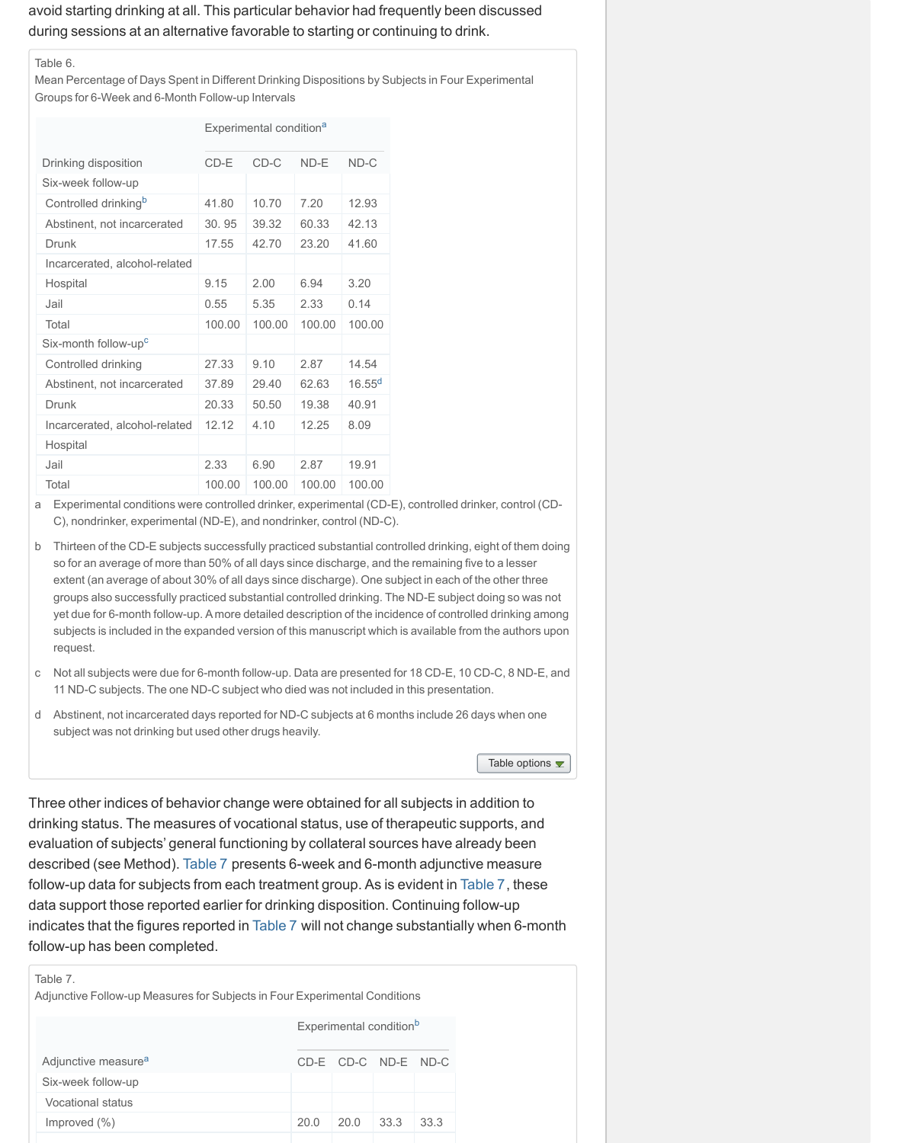| Hospital |      |                                           |               |       |
|----------|------|-------------------------------------------|---------------|-------|
| Jail     | 2.33 | 6.90                                      | $\sqrt{2.87}$ | 19.91 |
| Total    |      | $100.00$   $100.00$   $100.00$   $100.00$ |               |       |

a Experimental conditions were controlled drinker, experimental (CD-E), controlled drinker, control (O C), nondrinker, experimental (ND-E), and nondrinker, control (ND-C).

- b Thirteen of the CD-E subjects successfully practiced substantial controlled drinking, eight of them do so for an average of more than 50% of all days since [dis](http://www.sciencedirect.com/science/article/pii/S000578941630096X#tf0060)charge, and the remaining five to a lesser extent (an average of about 30% of all days since discharge). One subject in each of the other three groups also successfully practiced substantial controlled drinking. The ND-E subject doing so was yet due for 6-month follow-up. A more detailed description of the incidence of controlled drinking an subjects is includ[ed](http://www.sciencedirect.com/science/article/pii/S000578941630096X#tf0065) in the expanded version of this manuscript which is available from the authors request.
- c Not all subjects were due for 6-month follow-up. Data are presented for 18 CD-E, 10 CD-C, 8 ND-E 11 ND-C subjects. The one ND-C subject who died was not included in this presentation.
- d Abstinent, not incarcerated days reported for ND-C subjects at 6 months include 26 days when one subject was not drinking but used other drugs heavily.

Table option

Three other indices of behavior change were obtained for all subjects in addition to drinking status. The measures of vocational status, use [of](http://www.sciencedirect.com/science/article/pii/S000578941630096X#tf0075) therapeutic supports, and evaluation of subjects' general functioning by collateral sources have already been described (see Method). Table 7 presents 6-week and 6-month adjunctive measure follow-up data for subjects from each treatment group. As is evident in Table 7, these data support those reported earlier for drinking disposition. Continuing follow-up indicates that the figures reported in Table 7 will not change substantially when 6-month follow-up has been completed.

| Table 7.<br>Adjunctive Follow-up Measures for Subjects in Four Experimental Conditions |                                 |                                     |      |                     |      |  |
|----------------------------------------------------------------------------------------|---------------------------------|-------------------------------------|------|---------------------|------|--|
|                                                                                        |                                 | Experimental condition <sup>b</sup> |      |                     |      |  |
|                                                                                        | Adjunctive measure <sup>a</sup> |                                     |      | CD-E CD-C ND-E ND-C |      |  |
|                                                                                        | Six-week follow-up              |                                     |      |                     |      |  |
|                                                                                        | <b>Vocational status</b>        |                                     |      |                     |      |  |
|                                                                                        | Improved $(\% )$                | 20.0                                | 20.0 | 33.3                | 33.3 |  |
|                                                                                        |                                 |                                     |      |                     |      |  |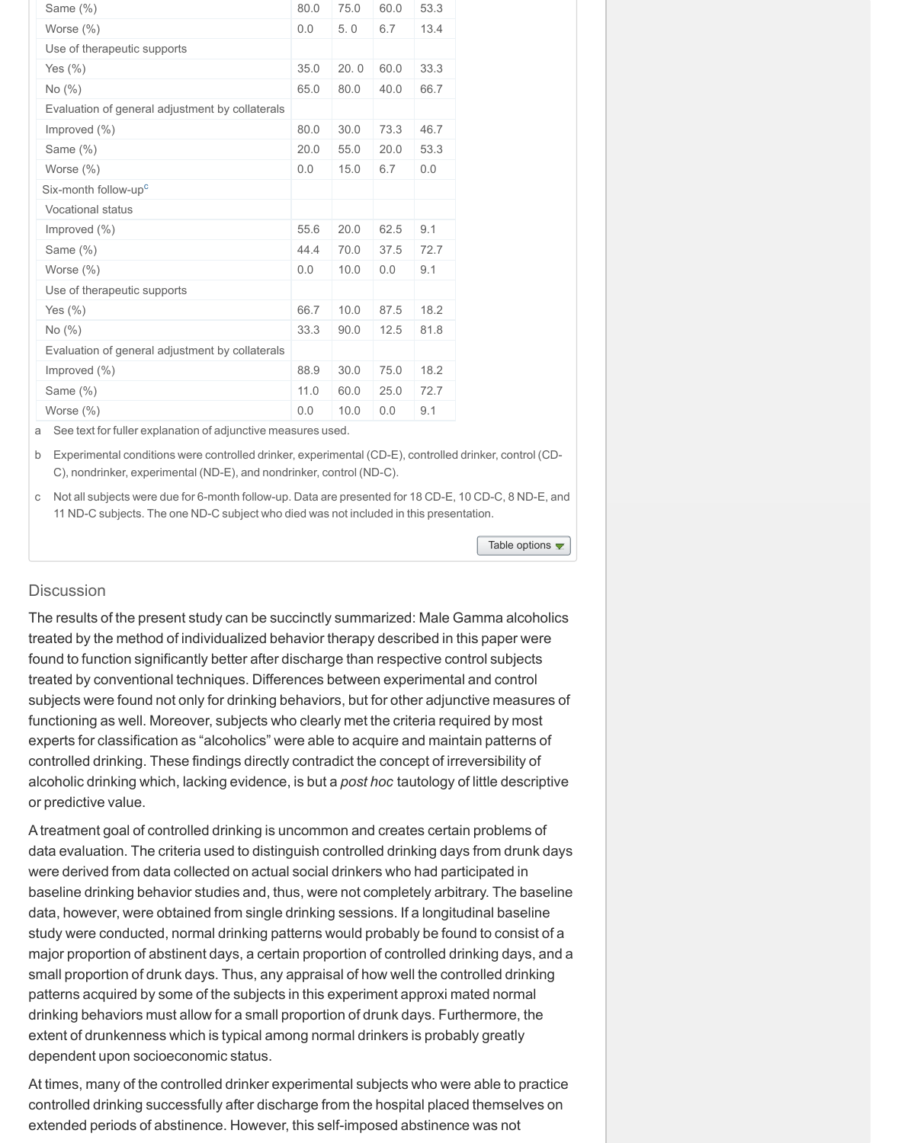- b Experimental conditions were controlled drinker, experimental (CD-E), controlled drinker, control (O C), nondrinker, experimental (ND-E), and nondrinker, control (ND-C).
- c Not all subjects were due for 6-month follow-up. Data are presented for 18 CD-E, 10 CD-C, 8 ND-E 11 ND-C subjects. The one ND-C subject who died was not included in this presentation.

Table option

# **Discussion**

The results of the [pr](http://www.sciencedirect.com/science/article/pii/S000578941630096X#tf0090)esent study can be succinctly summarized: Male Gamma alcohol treated by the method of individualized behavior therapy described in this paper were found to function significantly better after discharge than respective control subjects treated by conventional techniques. Differences between experimental and control subjects were found not only for drinking behaviors, but for other adjunctive measure functioning as well. Moreover, subjects who clearly met the criteria required by most experts for classification as "alcoholics" were able to acquire and maintain patterns of controlled drinking. These findings directly contradict the concept of irreversibility of alcoholic drinking which, lacking evidence, is but a *post hoc* tautology of little descriptive. or predictive value.

A treatment goal of controlled drinking is uncommon and creates certain problems of data evaluation. The criteria used to distinguish controlled drinking days from drunk of were derived from data collected on actual social drinkers who had participated in baseline drinking behavior studies and, thus, were not completely arbitrary. The base data, however, were obtained from single drinking sessions. If a longitudinal baseline study were conducted, normal drinking patterns would probably be found to consist of major proportion of abstinent days, a certain proportion of controlled drinking days, a small proportion of drunk days. Thus, any appraisal of how well the controlled drinkin patterns acquired by some of the subjects in this experiment approxi mated normal drinking behaviors must allow for a small proportion of drunk days. Furthermore, the extent of drunkenness which is typical among normal drinkers is probably greatly dependent upon socioeconomic status.

At times, many of the controlled drinker experimental subjects who were able to practice. controlled drinking successfully after discharge from the hospital placed themselves extended periods of abstinence. However, this self-imposed abstinence was not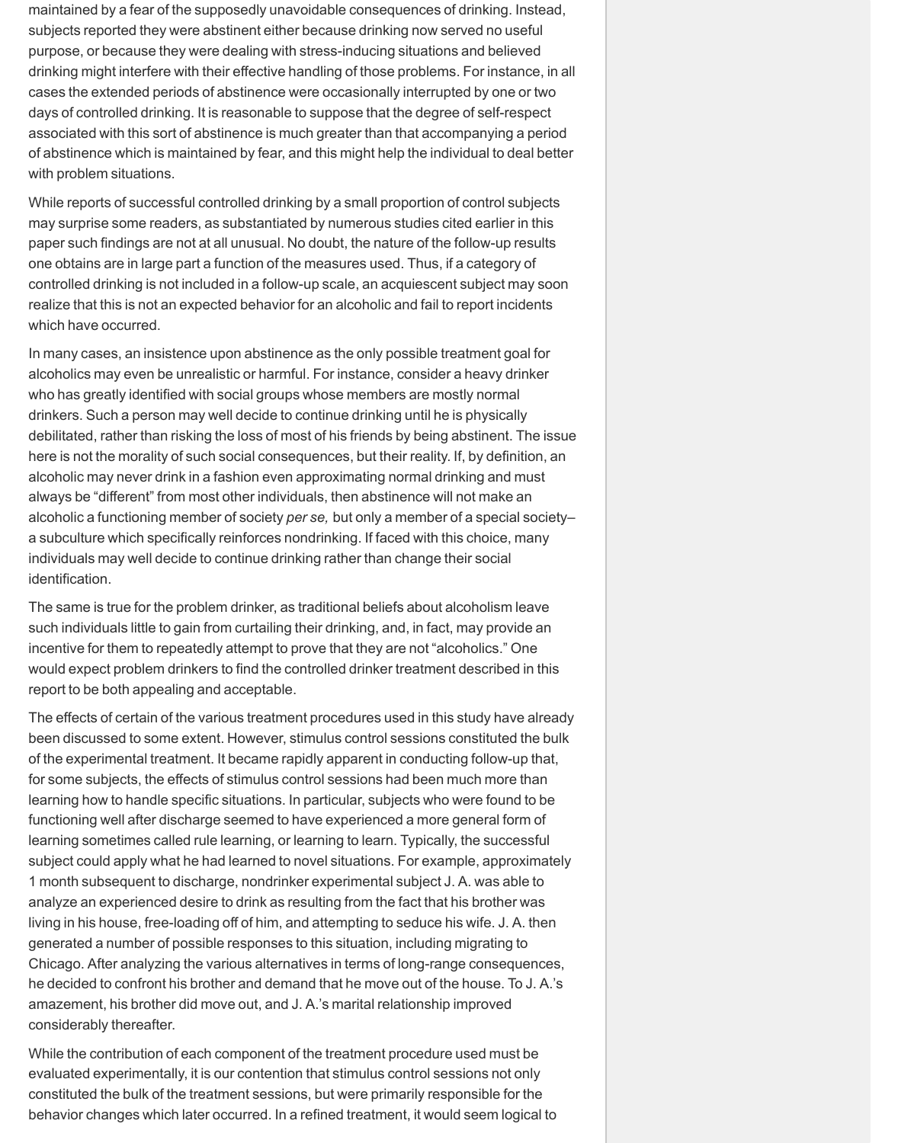maintained by a fear of the supposedly unavoidable consequences of drinking. Instead, subjects reported they were abstinent either because drinking now served no useful purpose, or because they were dealing with stress-inducing situations and believed drinking might interfere with their effective handling of those problems. For instance, in all cases the extended periods of abstinence were occasionally interrupted by one or two days of controlled drinking. It is reasonable to suppose that the degree of self-respect associated with this sort of abstinence is much greater than that accompanying a period of abstinence which is maintained by fear, and this might help the individual to deal better with problem situations.

While reports of successful controlled drinking by a small proportion of control subjects may surprise some readers, as substantiated by numerous studies cited earlier in this paper such findings are not at all unusual. No doubt, the nature of the follow-up results one obtains are in large part a function of the measures used. Thus, if a category of controlled drinking is not included in a follow-up scale, an acquiescent subject may soon realize that this is not an expected behavior for an alcoholic and fail to report incidents which have occurred.

In many cases, an insistence upon abstinence as the only possible treatment goal for alcoholics may even be unrealistic or harmful. For instance, consider a heavy drinker who has greatly identified with social groups whose members are mostly normal drinkers. Such a person may well decide to continue drinking until he is physically debilitated, rather than risking the loss of most of his friends by being abstinent. The issue here is not the morality of such social consequences, but their reality. If, by definition, an alcoholic may never drink in a fashion even approximating normal drinking and must always be "different" from most other individuals, then abstinence will not make an alcoholic a functioning member of society *per se,* but only a member of a special society– a subculture which specifically reinforces nondrinking. If faced with this choice, many individuals may well decide to continue drinking rather than change their social identification.

The same is true for the problem drinker, as traditional beliefs about alcoholism leave such individuals little to gain from curtailing their drinking, and, in fact, may provide an incentive for them to repeatedly attempt to prove that they are not "alcoholics." One would expect problem drinkers to find the controlled drinker treatment described in this report to be both appealing and acceptable.

The effects of certain of the various treatment procedures used in this study have already been discussed to some extent. However, stimulus control sessions constituted the bulk of the experimental treatment. It became rapidly apparent in conducting follow-up that, for some subjects, the effects of stimulus control sessions had been much more than learning how to handle specific situations. In particular, subjects who were found to be functioning well after discharge seemed to have experienced a more general form of learning sometimes called rule learning, or learning to learn. Typically, the successful subject could apply what he had learned to novel situations. For example, approximately 1 month subsequent to discharge, nondrinker experimental subject J. A. was able to analyze an experienced desire to drink as resulting from the fact that his brother was living in his house, free-loading off of him, and attempting to seduce his wife. J. A. then generated a number of possible responses to this situation, including migrating to Chicago. After analyzing the various alternatives in terms of long-range consequences, he decided to confront his brother and demand that he move out of the house. To J. A.'s amazement, his brother did move out, and J. A.'s marital relationship improved considerably thereafter.

While the contribution of each component of the treatment procedure used must be evaluated experimentally, it is our contention that stimulus control sessions not only constituted the bulk of the treatment sessions, but were primarily responsible for the behavior changes which later occurred. In a refined treatment, it would seem logical to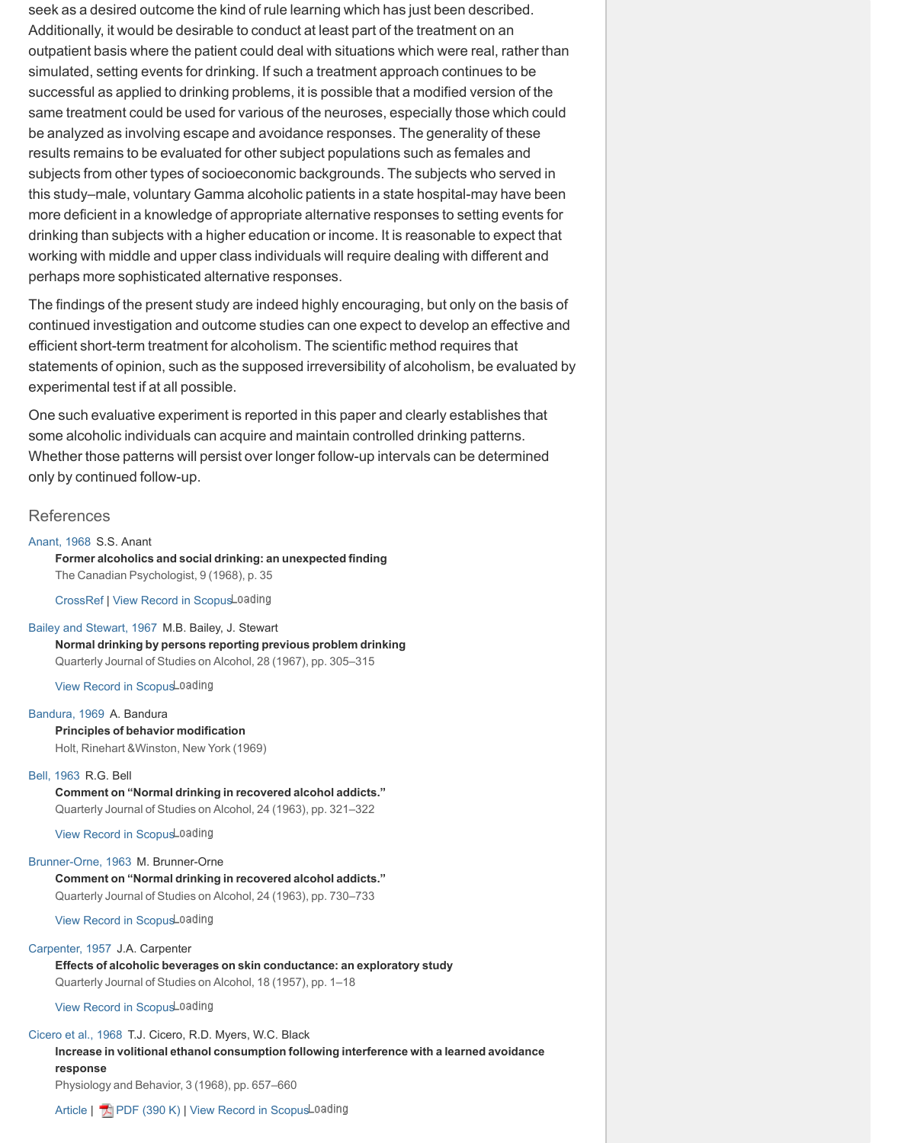some alcoholic individuals can acquire and maintain controlled drinking patterns. Whether those patterns will persist over longer follow-up intervals can be determined only by continued follow-up.

### References

Anant, 1968 S.S. Anant

**Former alcoholics and social drinking: an unexpected finding** The Canadian Psychologist, 9 (1968), p. 35

CrossRef | View Record in ScopusLoading

Bailey and Stewart, 1967 M.B. Bailey, J. Stewart

**Normal drinking by persons reporting previous problem drinking** Quarterly Journal of Studies on Alcohol, 28 (1967), pp. 305–315

View Record in Scopus

#### Bandura, 1969 A. Bandura

#### **Principles of behavior modification**

Holt, Rinehart &Winston, New York (1969)

#### Bell, 1963 R.G. Bell

**Comment on "Normal drinking in recovered alcohol addicts."** Quarterly Journal of Studies on Alcohol, 24 (1963), pp. 321–322

View Record in Scopus

#### Brunner-Orne, 1963 M. Brunner-Orne

**Comment on "Normal drinking in recovered alcohol addicts."**

Quarterly Journal of Studies on Alcohol, 24 (1963), pp. 730–733

View Record in Scopus

#### Carpenter, 1957 J.A. Carpenter

**Effects of alcoholic beverages on skin conductance: an exploratory study** [Quarterl](http://www.sciencedirect.com/science/article/pii/S000578941630096X#bb0005)y Journal of Studies on Alcohol, 18 (1957), pp. 1–18

View Record in Scopus

Cice[ro et al., 19](http://dx.doi.org/10.1037%2Fh0082605)68 [T.J. Cicero, R.D. My](http://www.scopus.com/inward/record.url?eid=2-s2.0-84909454964&partnerID=10&rel=R3.0.0&md5=d1258abada72fac190bb9217ab47ee3a)[ers, W.C. Blac](http://www.scopus.com/inward/citedby.url?eid=2-s2.0-84909454964&partnerID=10&rel=R3.0.0&md5=d1258abada72fac190bb9217ab47ee3a)k

**Increase in volitional ethanol consumption following interference with a learned avoidance [response](http://www.sciencedirect.com/science/article/pii/S000578941630096X#bb0010)**

Physiology and Behavior, 3 (1968), pp. 657–660

Article | **A** PDF (390 K) | View Record in ScopusLoading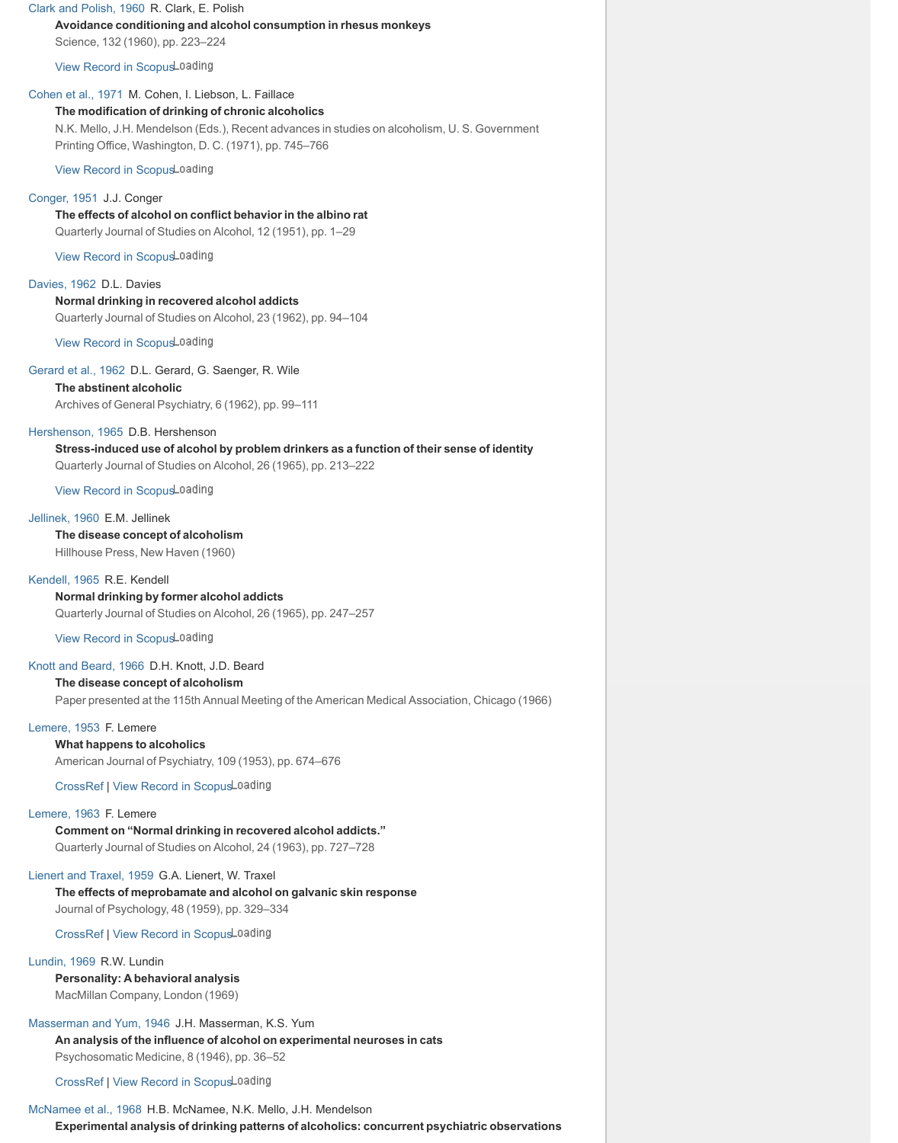**[Stress-induced us](http://www.sciencedirect.com/science/article/pii/S000578941630096X#bb0040)e of alcohol by problem drinkers as a function of their sense of identity** Quarterly Journal of Studies on Alcohol, 26 (1965), pp. 213–222

View Record in Scopus

Jellinek, 1960 E.M. Jellinek **[The disease c](http://www.sciencedirect.com/science/article/pii/S000578941630096X#bb0045)oncept of alcoholism** Hillhouse Press, New Haven (1960)

Kendell, 1965 R.E. Kendell

#### **Normal drinking by former alcohol addicts**

[Quarterly Journal of Stu](http://www.scopus.com/inward/record.url?eid=2-s2.0-0010669702&partnerID=10&rel=R3.0.0&md5=69ab04a1bd2d0716785938c8f1026a49)[dies on Alcoho](http://www.scopus.com/inward/citedby.url?eid=2-s2.0-0010669702&partnerID=10&rel=R3.0.0&md5=69ab04a1bd2d0716785938c8f1026a49)l, 26 (1965), pp. 247–257

[View Rec](http://www.sciencedirect.com/science/article/pii/S000578941630096X#bb0050)ord in Scopus

#### Knott and Beard, 1966 D.H. Knott, J.D. Beard

#### **The disease concept of alcoholism**

[Paper presented at the](http://www.scopus.com/inward/record.url?eid=2-s2.0-0013566709&partnerID=10&rel=R3.0.0&md5=aa669401716885de3c8ef262f86904ea) [115th Annual M](http://www.scopus.com/inward/citedby.url?eid=2-s2.0-0013566709&partnerID=10&rel=R3.0.0&md5=aa669401716885de3c8ef262f86904ea)eeting of the American Medical Association, Chicago (1966)

#### [Lemere, 1953](http://www.sciencedirect.com/science/article/pii/S000578941630096X#bb0055) F. Lemere

#### **What happens to alcoholics**

American Journal of Psychiatry, 109 (1953), pp. 674–676

[CrossRef | View Recor](http://www.scopus.com/inward/record.url?eid=2-s2.0-73049171766&partnerID=10&rel=R3.0.0&md5=e001edc28d21511de7ed8ac1328b2f86)[d in Scopus](http://www.scopus.com/inward/citedby.url?eid=2-s2.0-73049171766&partnerID=10&rel=R3.0.0&md5=e001edc28d21511de7ed8ac1328b2f86)Loading

#### [Lemere, 1963](http://www.sciencedirect.com/science/article/pii/S000578941630096X#bb0060) F. Lemere

**Comment on "Normal drinking in recovered alcohol addicts."**

Quarterly Journal of Studies on Alcohol, 24 (1963), pp. 727–728

[Lienert and Traxel, 1](http://www.sciencedirect.com/science/article/pii/S000578941630096X#bb0065)959 G.A. Lienert, W. Traxel

**The effects of meprobamate and alcohol on galvanic skin response** Journal of Psychology, 48 (1959), pp. 329–334

[CrossRef | View Recor](http://www.scopus.com/inward/record.url?eid=2-s2.0-3342966211&partnerID=10&rel=R3.0.0&md5=f95bafdc4d9a9b4be190d630a217537a)[d in Scopus](http://www.scopus.com/inward/citedby.url?eid=2-s2.0-3342966211&partnerID=10&rel=R3.0.0&md5=f95bafdc4d9a9b4be190d630a217537a)

[Lundin, 1969](http://www.sciencedirect.com/science/article/pii/S000578941630096X#bb0070) R.W. Lundin

**Personality: A behavioral analysis** MacMillan Company, London (1969)

#### [Masserman and](http://www.sciencedirect.com/science/article/pii/S000578941630096X#bb0075) Yum, 1946 J.H. Masserman, K.S. Yum

**An analysis of the influence of alcohol on experimental neuroses in cats** Psychosomatic Medicine, 8 (1946), pp. 36–52

[CrossRef | View Recor](http://www.scopus.com/inward/record.url?eid=2-s2.0-76549207991&partnerID=10&rel=R3.0.0&md5=ed291a1c9deb006708a658f9bd130117)[d in Scopus](http://www.scopus.com/inward/citedby.url?eid=2-s2.0-76549207991&partnerID=10&rel=R3.0.0&md5=ed291a1c9deb006708a658f9bd130117)

[McNamee et al., 1968](http://www.sciencedirect.com/science/article/pii/S000578941630096X#bb0080) H.B. McNamee, N.K. Mello, J.H. Mendelson **Experimental analysis of drinking patterns of alcoholics: concurrent psychiatric observations**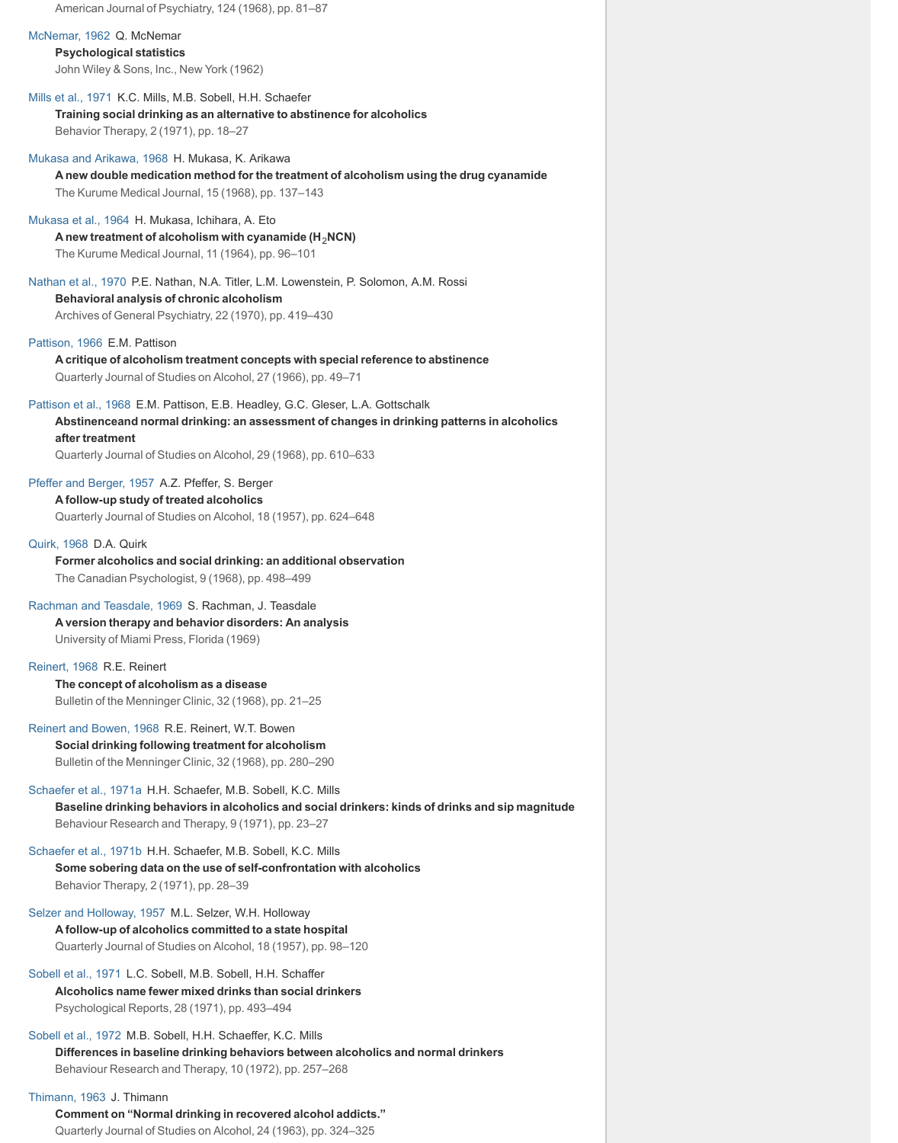**after treatment**

Quarterly Journal of Studies on Alcohol, 29 (1968), pp. 610–633

[Pfeffer and Berge](http://www.sciencedirect.com/science/article/pii/S000578941630096X#bb0115)r, 1957 A.Z. Pfeffer, S. Berger

**A follow-up study of treated alcoholics** Quarterly Journal of Studies on Alcohol, 18 (1957), pp. 624–648

[Quirk, 1968](http://www.sciencedirect.com/science/article/pii/S000578941630096X#bb0120) D.A. Quirk

**Former alcoholics and social drinking: an additional observation** The Canadian Psychologist, 9 (1968), pp. 498–499

[Rachman and Teasdale, 196](http://www.sciencedirect.com/science/article/pii/S000578941630096X#bb0125)9 S. Rachman, J. Teasdale **A version therapy and behavior disorders: An analysis** University of Miami Press, Florida (1969)

[Reinert, 1968](http://www.sciencedirect.com/science/article/pii/S000578941630096X#bb0130) R.E. Reinert **The concept of alcoholism as a disease** Bulletin of the Menninger Clinic, 32 (1968), pp. 21–25

[Reinert and Bowen,](http://www.sciencedirect.com/science/article/pii/S000578941630096X#bb0135) 1968 R.E. Reinert, W.T. Bowen **Social drinking following treatment for alcoholism** Bulletin of the Menninger Clinic, 32 (1968), pp. 280–290

[Schaefer et al.,](http://www.sciencedirect.com/science/article/pii/S000578941630096X#bb0140) 1971a H.H. Schaefer, M.B. Sobell, K.C. Mills **Baseline drinking behaviors in alcoholics and social drinkers: kinds of drinks and sip magr** Behaviour Research and Therapy, 9 (1971), pp. 23–27

[Schaefer et al., 1971b](http://www.sciencedirect.com/science/article/pii/S000578941630096X#bb0145) H.H. Schaefer, M.B. Sobell, K.C. Mills **Some sobering data on the use of self-confrontation with alcoholics** Behavior Therapy, 2 (1971), pp. 28–39

[Selzer and Holloway, 1957](http://www.sciencedirect.com/science/article/pii/S000578941630096X#bb0150) M.L. Selzer, W.H. Holloway **A follow-up of alcoholics committed to a state hospital** Quarterly Journal of Studies on Alcohol, 18 (1957), pp. 98–120

[Sobell et al.,](http://www.sciencedirect.com/science/article/pii/S000578941630096X#bb0155) 1971 L.C. Sobell, M.B. Sobell, H.H. Schaffer **Alcoholics name fewer mixed drinks than social drinkers** Psychological Reports, 28 (1971), pp. 493–494

Sobell et al., 1972 M.B. Sobell, H.H. Schaeffer, K.C. Mills **[Differences in baseline d](http://www.sciencedirect.com/science/article/pii/S000578941630096X#bb0160)rinking behaviors between alcoholics and normal drinkers** Behaviour Research and Therapy, 10 (1972), pp. 257–268

[Thimann, 1963](http://www.sciencedirect.com/science/article/pii/S000578941630096X#bb0165) J. Thimann **Comment on "Normal drinking in recovered alcohol addicts."** Quarterly Journal of Studies on Alcohol, 24 (1963), pp. 324–325